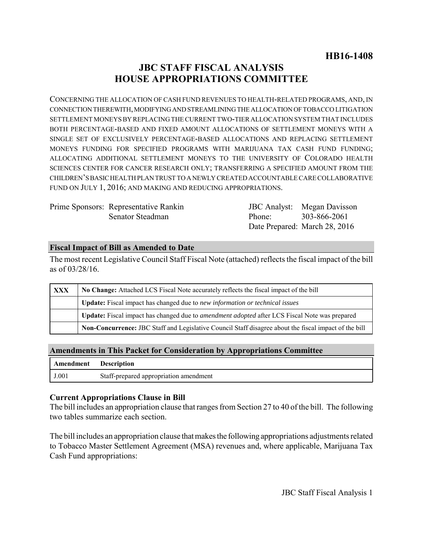# **JBC STAFF FISCAL ANALYSIS HOUSE APPROPRIATIONS COMMITTEE**

CONCERNING THE ALLOCATION OF CASH FUND REVENUES TO HEALTH-RELATED PROGRAMS, AND, IN CONNECTION THEREWITH, MODIFYING AND STREAMLINING THE ALLOCATION OF TOBACCO LITIGATION SETTLEMENT MONEYS BY REPLACING THE CURRENT TWO-TIER ALLOCATION SYSTEM THAT INCLUDES BOTH PERCENTAGE-BASED AND FIXED AMOUNT ALLOCATIONS OF SETTLEMENT MONEYS WITH A SINGLE SET OF EXCLUSIVELY PERCENTAGE-BASED ALLOCATIONS AND REPLACING SETTLEMENT MONEYS FUNDING FOR SPECIFIED PROGRAMS WITH MARIJUANA TAX CASH FUND FUNDING; ALLOCATING ADDITIONAL SETTLEMENT MONEYS TO THE UNIVERSITY OF COLORADO HEALTH SCIENCES CENTER FOR CANCER RESEARCH ONLY; TRANSFERRING A SPECIFIED AMOUNT FROM THE CHILDREN'S BASIC HEALTH PLAN TRUST TO A NEWLY CREATED ACCOUNTABLE CARE COLLABORATIVE FUND ON JULY 1, 2016; AND MAKING AND REDUCING APPROPRIATIONS.

Prime Sponsors: Representative Rankin Senator Steadman

JBC Analyst: Megan Davisson Phone: Date Prepared: March 28, 2016 303-866-2061

## **Fiscal Impact of Bill as Amended to Date**

The most recent Legislative Council Staff Fiscal Note (attached) reflects the fiscal impact of the bill as of 03/28/16.

| <b>XXX</b> | No Change: Attached LCS Fiscal Note accurately reflects the fiscal impact of the bill                 |  |  |  |  |
|------------|-------------------------------------------------------------------------------------------------------|--|--|--|--|
|            | Update: Fiscal impact has changed due to new information or technical issues                          |  |  |  |  |
|            | Update: Fiscal impact has changed due to <i>amendment adopted</i> after LCS Fiscal Note was prepared  |  |  |  |  |
|            | Non-Concurrence: JBC Staff and Legislative Council Staff disagree about the fiscal impact of the bill |  |  |  |  |

### **Amendments in This Packet for Consideration by Appropriations Committee**

| Amendment | <b>Description</b>                     |
|-----------|----------------------------------------|
| J.001     | Staff-prepared appropriation amendment |

### **Current Appropriations Clause in Bill**

The bill includes an appropriation clause that ranges from Section 27 to 40 of the bill. The following two tables summarize each section.

The bill includes an appropriation clause that makes the following appropriations adjustments related to Tobacco Master Settlement Agreement (MSA) revenues and, where applicable, Marijuana Tax Cash Fund appropriations: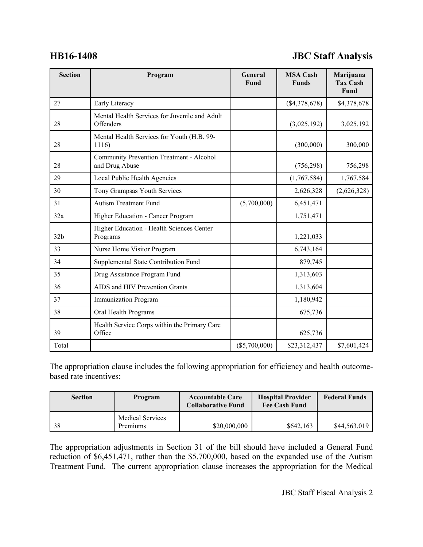# **HB16-1408 JBC Staff Analysis**

| <b>Section</b>  | Program                                                    | General<br>Fund | <b>MSA Cash</b><br><b>Funds</b> | Marijuana<br><b>Tax Cash</b><br>Fund |
|-----------------|------------------------------------------------------------|-----------------|---------------------------------|--------------------------------------|
| 27              | Early Literacy                                             |                 | (\$4,378,678)                   | \$4,378,678                          |
| 28              | Mental Health Services for Juvenile and Adult<br>Offenders |                 | (3,025,192)                     | 3,025,192                            |
| 28              | Mental Health Services for Youth (H.B. 99-<br>1116)        |                 | (300,000)                       | 300,000                              |
| 28              | Community Prevention Treatment - Alcohol<br>and Drug Abuse |                 | (756, 298)                      | 756,298                              |
| 29              | Local Public Health Agencies                               |                 | (1,767,584)                     | 1,767,584                            |
| 30              | Tony Grampsas Youth Services                               |                 | 2,626,328                       | (2,626,328)                          |
| 31              | <b>Autism Treatment Fund</b>                               | (5,700,000)     | 6,451,471                       |                                      |
| 32a             | Higher Education - Cancer Program                          |                 | 1,751,471                       |                                      |
| 32 <sub>b</sub> | Higher Education - Health Sciences Center<br>Programs      |                 | 1,221,033                       |                                      |
| 33              | Nurse Home Visitor Program                                 |                 | 6,743,164                       |                                      |
| 34              | Supplemental State Contribution Fund                       |                 | 879,745                         |                                      |
| 35              | Drug Assistance Program Fund                               |                 | 1,313,603                       |                                      |
| 36              | AIDS and HIV Prevention Grants                             |                 | 1,313,604                       |                                      |
| 37              | <b>Immunization Program</b>                                |                 | 1,180,942                       |                                      |
| 38              | Oral Health Programs                                       |                 | 675,736                         |                                      |
| 39              | Health Service Corps within the Primary Care<br>Office     |                 | 625,736                         |                                      |
| Total           |                                                            | $(\$5,700,000)$ | \$23,312,437                    | \$7,601,424                          |

The appropriation clause includes the following appropriation for efficiency and health outcomebased rate incentives:

| <b>Section</b> | Program                             | <b>Accountable Care</b><br><b>Collaborative Fund</b> | <b>Hospital Provider</b><br><b>Fee Cash Fund</b> | <b>Federal Funds</b> |
|----------------|-------------------------------------|------------------------------------------------------|--------------------------------------------------|----------------------|
| -38            | <b>Medical Services</b><br>Premiums | \$20,000,000                                         | \$642,163                                        | \$44,563,019         |

The appropriation adjustments in Section 31 of the bill should have included a General Fund reduction of \$6,451,471, rather than the \$5,700,000, based on the expanded use of the Autism Treatment Fund. The current appropriation clause increases the appropriation for the Medical